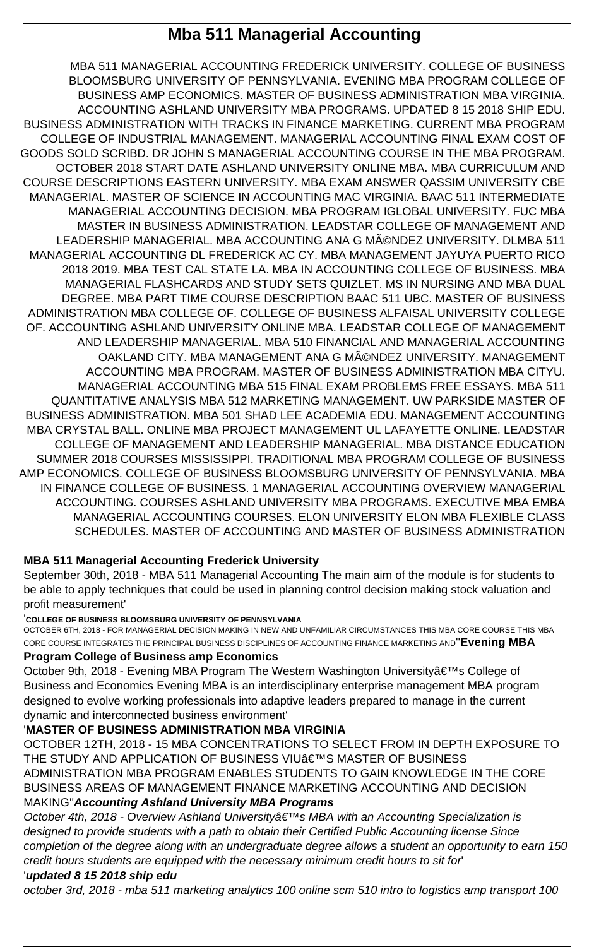# **Mba 511 Managerial Accounting**

MBA 511 MANAGERIAL ACCOUNTING FREDERICK UNIVERSITY. COLLEGE OF BUSINESS BLOOMSBURG UNIVERSITY OF PENNSYLVANIA. EVENING MBA PROGRAM COLLEGE OF BUSINESS AMP ECONOMICS. MASTER OF BUSINESS ADMINISTRATION MBA VIRGINIA. ACCOUNTING ASHLAND UNIVERSITY MBA PROGRAMS. UPDATED 8 15 2018 SHIP EDU. BUSINESS ADMINISTRATION WITH TRACKS IN FINANCE MARKETING. CURRENT MBA PROGRAM COLLEGE OF INDUSTRIAL MANAGEMENT. MANAGERIAL ACCOUNTING FINAL EXAM COST OF GOODS SOLD SCRIBD. DR JOHN S MANAGERIAL ACCOUNTING COURSE IN THE MBA PROGRAM. OCTOBER 2018 START DATE ASHLAND UNIVERSITY ONLINE MBA. MBA CURRICULUM AND COURSE DESCRIPTIONS EASTERN UNIVERSITY. MBA EXAM ANSWER QASSIM UNIVERSITY CBE MANAGERIAL. MASTER OF SCIENCE IN ACCOUNTING MAC VIRGINIA. BAAC 511 INTERMEDIATE MANAGERIAL ACCOUNTING DECISION. MBA PROGRAM IGLOBAL UNIVERSITY. FUC MBA MASTER IN BUSINESS ADMINISTRATION. LEADSTAR COLLEGE OF MANAGEMENT AND LEADERSHIP MANAGERIAL. MBA ACCOUNTING ANA G MéNDEZ UNIVERSITY. DLMBA 511 MANAGERIAL ACCOUNTING DL FREDERICK AC CY. MBA MANAGEMENT JAYUYA PUERTO RICO 2018 2019. MBA TEST CAL STATE LA. MBA IN ACCOUNTING COLLEGE OF BUSINESS. MBA MANAGERIAL FLASHCARDS AND STUDY SETS QUIZLET. MS IN NURSING AND MBA DUAL DEGREE. MBA PART TIME COURSE DESCRIPTION BAAC 511 UBC. MASTER OF BUSINESS ADMINISTRATION MBA COLLEGE OF. COLLEGE OF BUSINESS ALFAISAL UNIVERSITY COLLEGE OF. ACCOUNTING ASHLAND UNIVERSITY ONLINE MBA. LEADSTAR COLLEGE OF MANAGEMENT AND LEADERSHIP MANAGERIAL. MBA 510 FINANCIAL AND MANAGERIAL ACCOUNTING OAKLAND CITY. MBA MANAGEMENT ANA G MéNDEZ UNIVERSITY. MANAGEMENT ACCOUNTING MBA PROGRAM. MASTER OF BUSINESS ADMINISTRATION MBA CITYU. MANAGERIAL ACCOUNTING MBA 515 FINAL EXAM PROBLEMS FREE ESSAYS. MBA 511 QUANTITATIVE ANALYSIS MBA 512 MARKETING MANAGEMENT. UW PARKSIDE MASTER OF BUSINESS ADMINISTRATION. MBA 501 SHAD LEE ACADEMIA EDU. MANAGEMENT ACCOUNTING MBA CRYSTAL BALL. ONLINE MBA PROJECT MANAGEMENT UL LAFAYETTE ONLINE. LEADSTAR COLLEGE OF MANAGEMENT AND LEADERSHIP MANAGERIAL. MBA DISTANCE EDUCATION SUMMER 2018 COURSES MISSISSIPPI. TRADITIONAL MBA PROGRAM COLLEGE OF BUSINESS AMP ECONOMICS. COLLEGE OF BUSINESS BLOOMSBURG UNIVERSITY OF PENNSYLVANIA. MBA IN FINANCE COLLEGE OF BUSINESS. 1 MANAGERIAL ACCOUNTING OVERVIEW MANAGERIAL ACCOUNTING. COURSES ASHLAND UNIVERSITY MBA PROGRAMS. EXECUTIVE MBA EMBA MANAGERIAL ACCOUNTING COURSES. ELON UNIVERSITY ELON MBA FLEXIBLE CLASS SCHEDULES. MASTER OF ACCOUNTING AND MASTER OF BUSINESS ADMINISTRATION

October 9th, 2018 - Evening MBA Program The Western Washington University a E<sup>™</sup>s College of Business and Economics Evening MBA is an interdisciplinary enterprise management MBA program designed to evolve working professionals into adaptive leaders prepared to manage in the current dynamic and interconnected business environment'

## THE STUDY AND APPLICATION OF BUSINESS VIU'S MASTER OF BUSINESS ADMINISTRATION MBA PROGRAM ENABLES STUDENTS TO GAIN KNOWLEDGE IN THE CORE BUSINESS AREAS OF MANAGEMENT FINANCE MARKETING ACCOUNTING AND DECISION MAKING''**Accounting Ashland University MBA Programs** October 4th, 2018 - Overview Ashland Universityâ€<sup>™</sup>s MBA with an Accounting Specialization is designed to provide students with a path to obtain their Certified Public Accounting license Since completion of the degree along with an undergraduate degree allows a student an opportunity to earn 150 credit hours students are equipped with the necessary minimum credit hours to sit for' '**updated 8 15 2018 ship edu**

## **MBA 511 Managerial Accounting Frederick University**

September 30th, 2018 - MBA 511 Managerial Accounting The main aim of the module is for students to be able to apply techniques that could be used in planning control decision making stock valuation and profit measurement'

### '**COLLEGE OF BUSINESS BLOOMSBURG UNIVERSITY OF PENNSYLVANIA**

OCTOBER 6TH, 2018 - FOR MANAGERIAL DECISION MAKING IN NEW AND UNFAMILIAR CIRCUMSTANCES THIS MBA CORE COURSE THIS MBA CORE COURSE INTEGRATES THE PRINCIPAL BUSINESS DISCIPLINES OF ACCOUNTING FINANCE MARKETING AND''**Evening MBA**

### **Program College of Business amp Economics**

## '**MASTER OF BUSINESS ADMINISTRATION MBA VIRGINIA**

OCTOBER 12TH, 2018 - 15 MBA CONCENTRATIONS TO SELECT FROM IN DEPTH EXPOSURE TO

october 3rd, 2018 - mba 511 marketing analytics 100 online scm 510 intro to logistics amp transport 100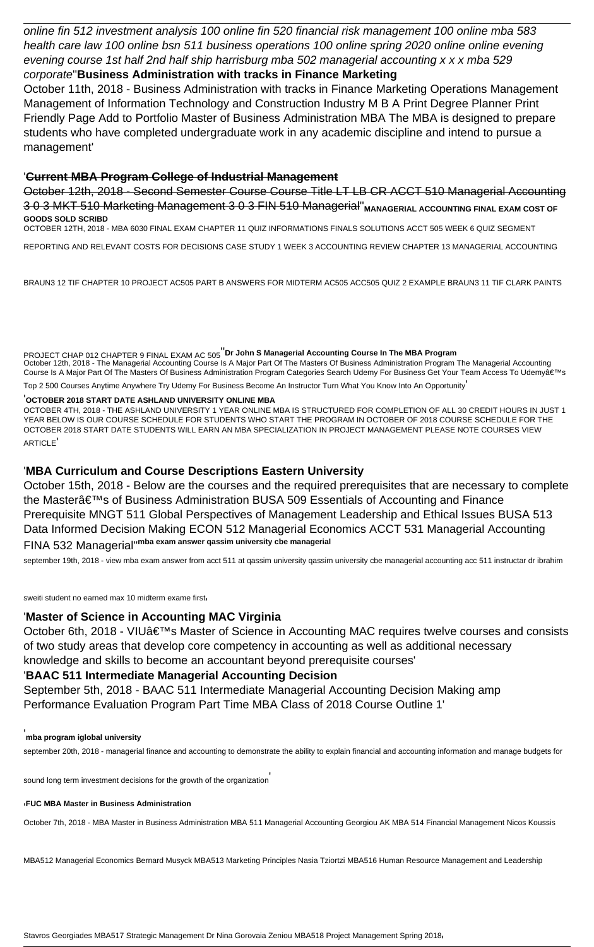online fin 512 investment analysis 100 online fin 520 financial risk management 100 online mba 583 health care law 100 online bsn 511 business operations 100 online spring 2020 online online evening evening course 1st half 2nd half ship harrisburg mba 502 managerial accounting x x x mba 529 corporate''**Business Administration with tracks in Finance Marketing**

October 11th, 2018 - Business Administration with tracks in Finance Marketing Operations Management Management of Information Technology and Construction Industry M B A Print Degree Planner Print Friendly Page Add to Portfolio Master of Business Administration MBA The MBA is designed to prepare students who have completed undergraduate work in any academic discipline and intend to pursue a management'

PROJECT CHAP 012 CHAPTER 9 FINAL EXAM AC 505''**Dr John S Managerial Accounting Course In The MBA Program** October 12th, 2018 - The Managerial Accounting Course Is A Major Part Of The Masters Of Business Administration Program The Managerial Accounting Course Is A Major Part Of The Masters Of Business Administration Program Categories Search Udemy For Business Get Your Team Access To Udemya€™s

### '**Current MBA Program College of Industrial Management**

October 12th, 2018 - Second Semester Course Course Title LT LB CR ACCT 510 Managerial Accounting 3 0 3 MKT 510 Marketing Management 3 0 3 FIN 510 Managerial<sup>"</sup> MANAGERIAL ACCOUNTING FINAL EXAM COST OF **GOODS SOLD SCRIBD**

OCTOBER 12TH, 2018 - MBA 6030 FINAL EXAM CHAPTER 11 QUIZ INFORMATIONS FINALS SOLUTIONS ACCT 505 WEEK 6 QUIZ SEGMENT

REPORTING AND RELEVANT COSTS FOR DECISIONS CASE STUDY 1 WEEK 3 ACCOUNTING REVIEW CHAPTER 13 MANAGERIAL ACCOUNTING

BRAUN3 12 TIF CHAPTER 10 PROJECT AC505 PART B ANSWERS FOR MIDTERM AC505 ACC505 QUIZ 2 EXAMPLE BRAUN3 11 TIF CLARK PAINTS

October 6th, 2018 - VIU's Master of Science in Accounting MAC requires twelve courses and consists of two study areas that develop core competency in accounting as well as additional necessary knowledge and skills to become an accountant beyond prerequisite courses'

Top 2 500 Courses Anytime Anywhere Try Udemy For Business Become An Instructor Turn What You Know Into An Opportunity'

### '**OCTOBER 2018 START DATE ASHLAND UNIVERSITY ONLINE MBA**

OCTOBER 4TH, 2018 - THE ASHLAND UNIVERSITY 1 YEAR ONLINE MBA IS STRUCTURED FOR COMPLETION OF ALL 30 CREDIT HOURS IN JUST 1 YEAR BELOW IS OUR COURSE SCHEDULE FOR STUDENTS WHO START THE PROGRAM IN OCTOBER OF 2018 COURSE SCHEDULE FOR THE OCTOBER 2018 START DATE STUDENTS WILL EARN AN MBA SPECIALIZATION IN PROJECT MANAGEMENT PLEASE NOTE COURSES VIEW ARTICLE'

### '**MBA Curriculum and Course Descriptions Eastern University**

October 15th, 2018 - Below are the courses and the required prerequisites that are necessary to complete the Master $\hat{\mathbf{a}} \in \mathbb{M}$ s of Business Administration BUSA 509 Essentials of Accounting and Finance Prerequisite MNGT 511 Global Perspectives of Management Leadership and Ethical Issues BUSA 513 Data Informed Decision Making ECON 512 Managerial Economics ACCT 531 Managerial Accounting FINA 532 Managerial''**mba exam answer qassim university cbe managerial**

september 19th, 2018 - view mba exam answer from acct 511 at qassim university qassim university cbe managerial accounting acc 511 instructar dr ibrahim

sweiti student no earned max 10 midterm exame first

### '**Master of Science in Accounting MAC Virginia**

### '**BAAC 511 Intermediate Managerial Accounting Decision**

September 5th, 2018 - BAAC 511 Intermediate Managerial Accounting Decision Making amp Performance Evaluation Program Part Time MBA Class of 2018 Course Outline 1'

september 20th, 2018 - managerial finance and accounting to demonstrate the ability to explain financial and accounting information and manage budgets for

sound long term investment decisions for the growth of the organization'

### '**FUC MBA Master in Business Administration**

October 7th, 2018 - MBA Master in Business Administration MBA 511 Managerial Accounting Georgiou AK MBA 514 Financial Management Nicos Koussis

MBA512 Managerial Economics Bernard Musyck MBA513 Marketing Principles Nasia Tziortzi MBA516 Human Resource Management and Leadership

Stavros Georgiades MBA517 Strategic Management Dr Nina Gorovaia Zeniou MBA518 Project Management Spring 2018'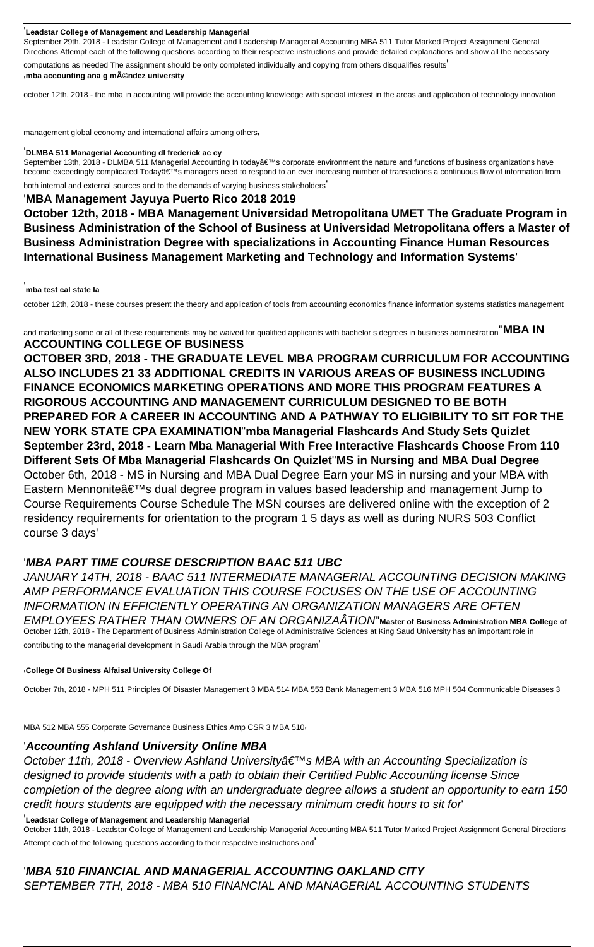### '**Leadstar College of Management and Leadership Managerial**

September 29th, 2018 - Leadstar College of Management and Leadership Managerial Accounting MBA 511 Tutor Marked Project Assignment General Directions Attempt each of the following questions according to their respective instructions and provide detailed explanations and show all the necessary

computations as needed The assignment should be only completed individually and copying from others disqualifies results' '**mba accounting ana g méndez university**

September 13th, 2018 - DLMBA 511 Managerial Accounting In today's corporate environment the nature and functions of business organizations have become exceedingly complicated Today's managers need to respond to an ever increasing number of transactions a continuous flow of information from both internal and external sources and to the demands of varying business stakeholders'

october 12th, 2018 - the mba in accounting will provide the accounting knowledge with special interest in the areas and application of technology innovation

management global economy and international affairs among others

### '**DLMBA 511 Managerial Accounting dl frederick ac cy**

'**MBA Management Jayuya Puerto Rico 2018 2019**

**October 12th, 2018 - MBA Management Universidad Metropolitana UMET The Graduate Program in Business Administration of the School of Business at Universidad Metropolitana offers a Master of Business Administration Degree with specializations in Accounting Finance Human Resources International Business Management Marketing and Technology and Information Systems**'

### '**mba test cal state la**

october 12th, 2018 - these courses present the theory and application of tools from accounting economics finance information systems statistics management

and marketing some or all of these requirements may be waived for qualified applicants with bachelor s degrees in business administration''**MBA IN ACCOUNTING COLLEGE OF BUSINESS**

October 11th, 2018 - Overview Ashland University a€<sup>TM</sup>s MBA with an Accounting Specialization is designed to provide students with a path to obtain their Certified Public Accounting license Since completion of the degree along with an undergraduate degree allows a student an opportunity to earn 150 credit hours students are equipped with the necessary minimum credit hours to sit for'

**OCTOBER 3RD, 2018 - THE GRADUATE LEVEL MBA PROGRAM CURRICULUM FOR ACCOUNTING ALSO INCLUDES 21 33 ADDITIONAL CREDITS IN VARIOUS AREAS OF BUSINESS INCLUDING FINANCE ECONOMICS MARKETING OPERATIONS AND MORE THIS PROGRAM FEATURES A RIGOROUS ACCOUNTING AND MANAGEMENT CURRICULUM DESIGNED TO BE BOTH PREPARED FOR A CAREER IN ACCOUNTING AND A PATHWAY TO ELIGIBILITY TO SIT FOR THE NEW YORK STATE CPA EXAMINATION**''**mba Managerial Flashcards And Study Sets Quizlet September 23rd, 2018 - Learn Mba Managerial With Free Interactive Flashcards Choose From 110 Different Sets Of Mba Managerial Flashcards On Quizlet**''**MS in Nursing and MBA Dual Degree** October 6th, 2018 - MS in Nursing and MBA Dual Degree Earn your MS in nursing and your MBA with Eastern Mennonite $\hat{a} \in \mathbb{N}$ s dual degree program in values based leadership and management Jump to Course Requirements Course Schedule The MSN courses are delivered online with the exception of 2 residency requirements for orientation to the program 1 5 days as well as during NURS 503 Conflict course 3 days'

### '**MBA PART TIME COURSE DESCRIPTION BAAC 511 UBC**

JANUARY 14TH, 2018 - BAAC 511 INTERMEDIATE MANAGERIAL ACCOUNTING DECISION MAKING AMP PERFORMANCE EVALUATION THIS COURSE FOCUSES ON THE USE OF ACCOUNTING INFORMATION IN EFFICIENTLY OPERATING AN ORGANIZATION MANAGERS ARE OFTEN EMPLOYEES RATHER THAN OWNERS OF AN ORGANIZAÂTION''**Master of Business Administration MBA College of** October 12th, 2018 - The Department of Business Administration College of Administrative Sciences at King Saud University has an important role in contributing to the managerial development in Saudi Arabia through the MBA program'

### '**College Of Business Alfaisal University College Of**

October 7th, 2018 - MPH 511 Principles Of Disaster Management 3 MBA 514 MBA 553 Bank Management 3 MBA 516 MPH 504 Communicable Diseases 3

MBA 512 MBA 555 Corporate Governance Business Ethics Amp CSR 3 MBA 510'

## '**Accounting Ashland University Online MBA**

### '**Leadstar College of Management and Leadership Managerial**

October 11th, 2018 - Leadstar College of Management and Leadership Managerial Accounting MBA 511 Tutor Marked Project Assignment General Directions

Attempt each of the following questions according to their respective instructions and'

### '**MBA 510 FINANCIAL AND MANAGERIAL ACCOUNTING OAKLAND CITY** SEPTEMBER 7TH, 2018 - MBA 510 FINANCIAL AND MANAGERIAL ACCOUNTING STUDENTS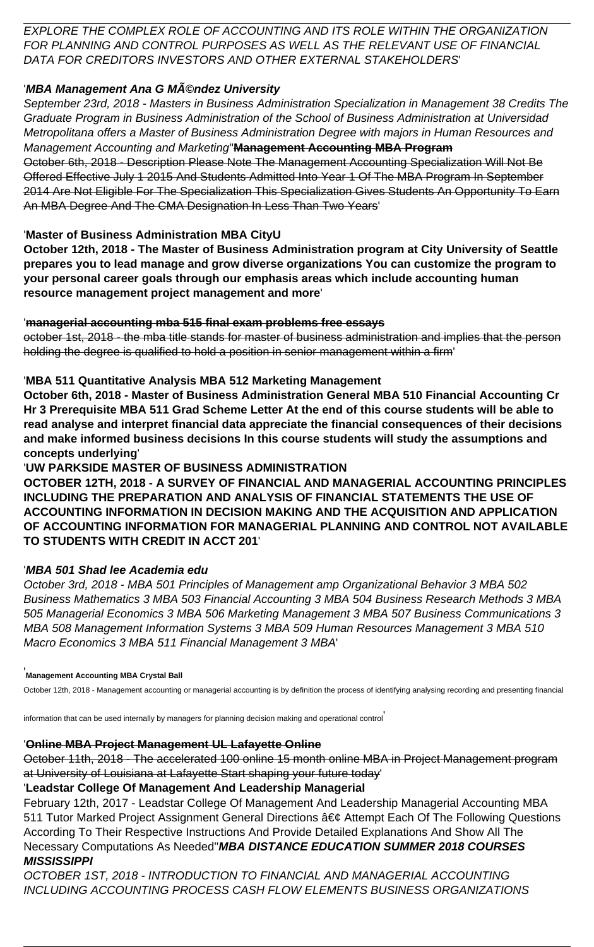EXPLORE THE COMPLEX ROLE OF ACCOUNTING AND ITS ROLE WITHIN THE ORGANIZATION FOR PLANNING AND CONTROL PURPOSES AS WELL AS THE RELEVANT USE OF FINANCIAL DATA FOR CREDITORS INVESTORS AND OTHER EXTERNAL STAKEHOLDERS'

## **'MBA Management Ana G Méndez University**

September 23rd, 2018 - Masters in Business Administration Specialization in Management 38 Credits The Graduate Program in Business Administration of the School of Business Administration at Universidad Metropolitana offers a Master of Business Administration Degree with majors in Human Resources and Management Accounting and Marketing''**Management Accounting MBA Program** October 6th, 2018 - Description Please Note The Management Accounting Specialization Will Not Be Offered Effective July 1 2015 And Students Admitted Into Year 1 Of The MBA Program In September 2014 Are Not Eligible For The Specialization This Specialization Gives Students An Opportunity To Earn An MBA Degree And The CMA Designation In Less Than Two Years'

## '**Master of Business Administration MBA CityU**

**October 12th, 2018 - The Master of Business Administration program at City University of Seattle prepares you to lead manage and grow diverse organizations You can customize the program to your personal career goals through our emphasis areas which include accounting human resource management project management and more**'

## '**managerial accounting mba 515 final exam problems free essays**

october 1st, 2018 - the mba title stands for master of business administration and implies that the person holding the degree is qualified to hold a position in senior management within a firm'

## '**MBA 511 Quantitative Analysis MBA 512 Marketing Management**

**October 6th, 2018 - Master of Business Administration General MBA 510 Financial Accounting Cr Hr 3 Prerequisite MBA 511 Grad Scheme Letter At the end of this course students will be able to read analyse and interpret financial data appreciate the financial consequences of their decisions and make informed business decisions In this course students will study the assumptions and concepts underlying**'

## '**UW PARKSIDE MASTER OF BUSINESS ADMINISTRATION**

**OCTOBER 12TH, 2018 - A SURVEY OF FINANCIAL AND MANAGERIAL ACCOUNTING PRINCIPLES INCLUDING THE PREPARATION AND ANALYSIS OF FINANCIAL STATEMENTS THE USE OF ACCOUNTING INFORMATION IN DECISION MAKING AND THE ACQUISITION AND APPLICATION OF ACCOUNTING INFORMATION FOR MANAGERIAL PLANNING AND CONTROL NOT AVAILABLE TO STUDENTS WITH CREDIT IN ACCT 201**'

## '**MBA 501 Shad lee Academia edu**

October 3rd, 2018 - MBA 501 Principles of Management amp Organizational Behavior 3 MBA 502 Business Mathematics 3 MBA 503 Financial Accounting 3 MBA 504 Business Research Methods 3 MBA 505 Managerial Economics 3 MBA 506 Marketing Management 3 MBA 507 Business Communications 3 MBA 508 Management Information Systems 3 MBA 509 Human Resources Management 3 MBA 510 Macro Economics 3 MBA 511 Financial Management 3 MBA'

### '**Management Accounting MBA Crystal Ball**

October 12th, 2018 - Management accounting or managerial accounting is by definition the process of identifying analysing recording and presenting financial

information that can be used internally by managers for planning decision making and operational control'

### '**Online MBA Project Management UL Lafayette Online**

October 11th, 2018 - The accelerated 100 online 15 month online MBA in Project Management program at University of Louisiana at Lafayette Start shaping your future today'

### '**Leadstar College Of Management And Leadership Managerial**

February 12th, 2017 - Leadstar College Of Management And Leadership Managerial Accounting MBA 511 Tutor Marked Project Assignment General Directions • Attempt Each Of The Following Questions According To Their Respective Instructions And Provide Detailed Explanations And Show All The Necessary Computations As Needed''**MBA DISTANCE EDUCATION SUMMER 2018 COURSES MISSISSIPPI**

OCTOBER 1ST, 2018 - INTRODUCTION TO FINANCIAL AND MANAGERIAL ACCOUNTING INCLUDING ACCOUNTING PROCESS CASH FLOW ELEMENTS BUSINESS ORGANIZATIONS